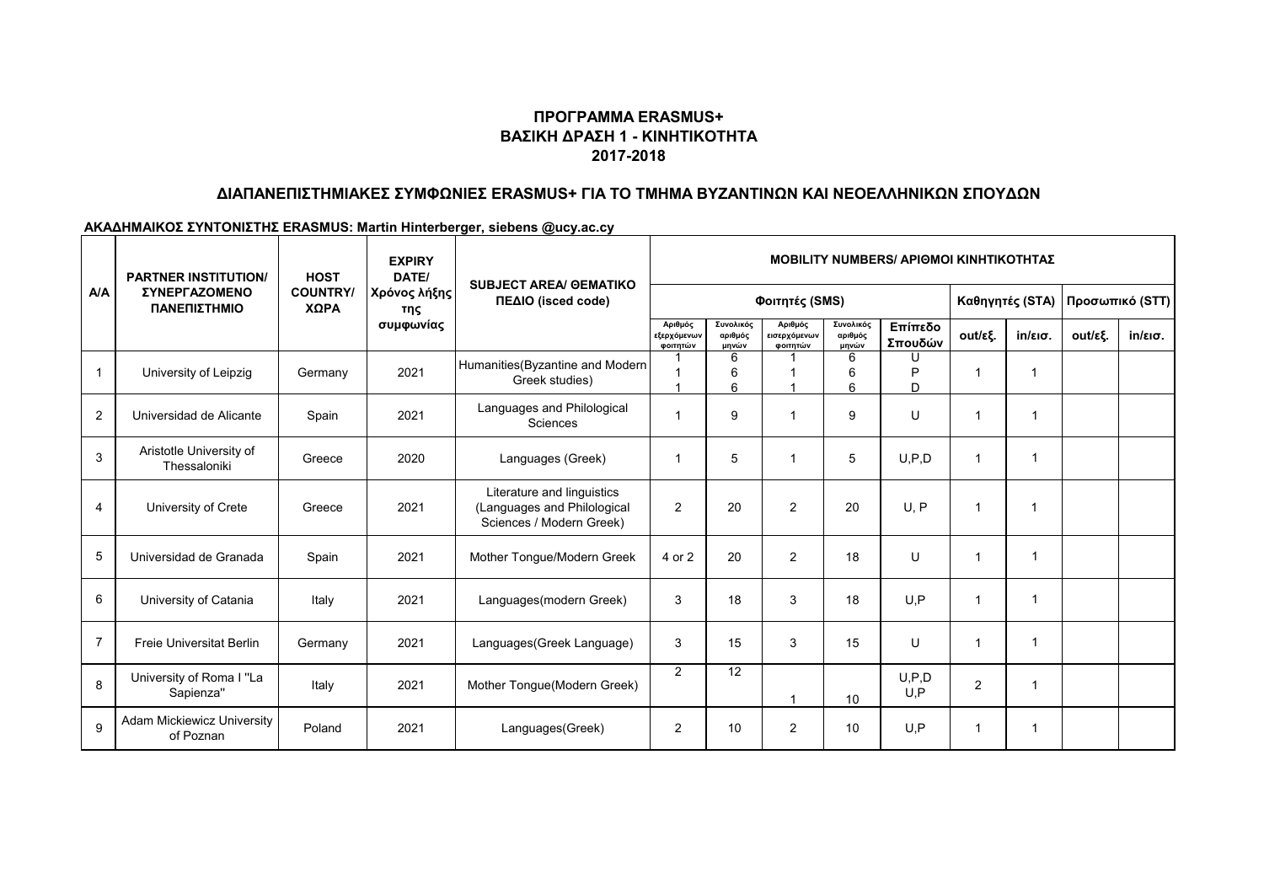# **ΠΡΟΓΡΑΜΜΑ ERASMUS+ ΒΑΣΙΚΗ ΔΡΑΣΗ 1 - ΚΙΝΗΤΙΚΟΤΗΤΑ 2017-2018**

## **ΔΙΑΠΑΝΕΠΙΣΤΗΜΙΑΚΕΣ ΣΥΜΦΩΝΙΕΣ ERASMUS+ ΓΙΑ ΤΟ ΤΜΗΜΑ ΒΥΖΑΝΤΙΝΩΝ ΚΑΙ ΝΕΟΕΛΛΗΝΙΚΩΝ ΣΠΟΥΔΩΝ**

### **ΑΚΑΔΗΜΑΙΚΟΣ ΣΥΝΤΟΝΙΣΤΗΣ ERASMUS: Martin Hinterberger, siebens @ucy.ac.cy**

| A/A            | <b>PARTNER INSTITUTION/</b><br>ΣΥΝΕΡΓΑΖΟΜΕΝΟ<br>ΠΑΝΕΠΙΣΤΗΜΙΟ | <b>HOST</b><br><b>COUNTRY/</b><br>ΧΩΡΑ | <b>EXPIRY</b><br>DATE/<br>Χρόνος λήξης<br>της<br>συμφωνίας | <b>SUBJECT AREA/ GEMATIKO</b><br>ΠΕΔΙΟ (isced code)                                   | <b>MOBILITY NUMBERS/ ΑΡΙΘΜΟΙ ΚΙΝΗΤΙΚΟΤΗΤΑΣ</b> |                               |                                     |                               |                    |                 |                   |                 |                   |
|----------------|--------------------------------------------------------------|----------------------------------------|------------------------------------------------------------|---------------------------------------------------------------------------------------|------------------------------------------------|-------------------------------|-------------------------------------|-------------------------------|--------------------|-----------------|-------------------|-----------------|-------------------|
|                |                                                              |                                        |                                                            |                                                                                       | Φοιτητές (SMS)                                 |                               |                                     |                               |                    | Καθηγητές (STA) |                   | Προσωπικό (STT) |                   |
|                |                                                              |                                        |                                                            |                                                                                       | Αριθμός<br>εξερχόμενων<br>φοιτητών             | Συνολικός<br>αριθμός<br>μηνών | Αριθμός<br>εισερχόμενων<br>φοιτητών | Συνολικός<br>αριθμός<br>μηνών | Επίπεδο<br>Σπουδών | out/εξ.         | $in/\epsilon$ ισ. | out/εξ.         | $in/\epsilon$ ισ. |
| $\mathbf{1}$   | University of Leipzig                                        | Germany                                | 2021                                                       | Humanities (Byzantine and Modern<br>Greek studies)                                    |                                                | 6<br>6<br>6                   |                                     | 6<br>6<br>6                   | D<br>D.            | $\overline{1}$  | 1                 |                 |                   |
| $\overline{2}$ | Universidad de Alicante                                      | Spain                                  | 2021                                                       | Languages and Philological<br>Sciences                                                | 1                                              | 9                             | $\overline{1}$                      | 9                             | U                  | $\mathbf 1$     | $\mathbf{1}$      |                 |                   |
| 3              | Aristotle University of<br>Thessaloniki                      | Greece                                 | 2020                                                       | Languages (Greek)                                                                     | -1                                             | 5                             | $\overline{1}$                      | 5                             | U, P, D            | $\overline{1}$  | 1                 |                 |                   |
| 4              | University of Crete                                          | Greece                                 | 2021                                                       | Literature and linguistics<br>(Languages and Philological<br>Sciences / Modern Greek) | $\overline{2}$                                 | 20                            | $\overline{2}$                      | 20                            | U, P               | $\mathbf 1$     | 1                 |                 |                   |
| 5              | Universidad de Granada                                       | Spain                                  | 2021                                                       | Mother Tongue/Modern Greek                                                            | 4 or 2                                         | 20                            | $\overline{2}$                      | 18                            | U                  | $\mathbf 1$     | 1                 |                 |                   |
| 6              | University of Catania                                        | Italy                                  | 2021                                                       | Languages(modern Greek)                                                               | 3                                              | 18                            | 3                                   | 18                            | U.P                | $\mathbf 1$     | -1                |                 |                   |
| $\overline{7}$ | <b>Freie Universitat Berlin</b>                              | Germany                                | 2021                                                       | Languages(Greek Language)                                                             | 3                                              | 15                            | 3                                   | 15                            | U                  | $\mathbf 1$     | 1                 |                 |                   |
| 8              | University of Roma I "La<br>Sapienza"                        | Italy                                  | 2021                                                       | Mother Tongue(Modern Greek)                                                           | $\overline{2}$                                 | 12                            | $\overline{1}$                      | 10                            | U.P.D<br>U.P       | $\overline{2}$  |                   |                 |                   |
| 9              | Adam Mickiewicz University<br>of Poznan                      | Poland                                 | 2021                                                       | Languages(Greek)                                                                      | $\overline{2}$                                 | 10                            | $\overline{2}$                      | 10                            | U.P                | $\mathbf 1$     | 1                 |                 |                   |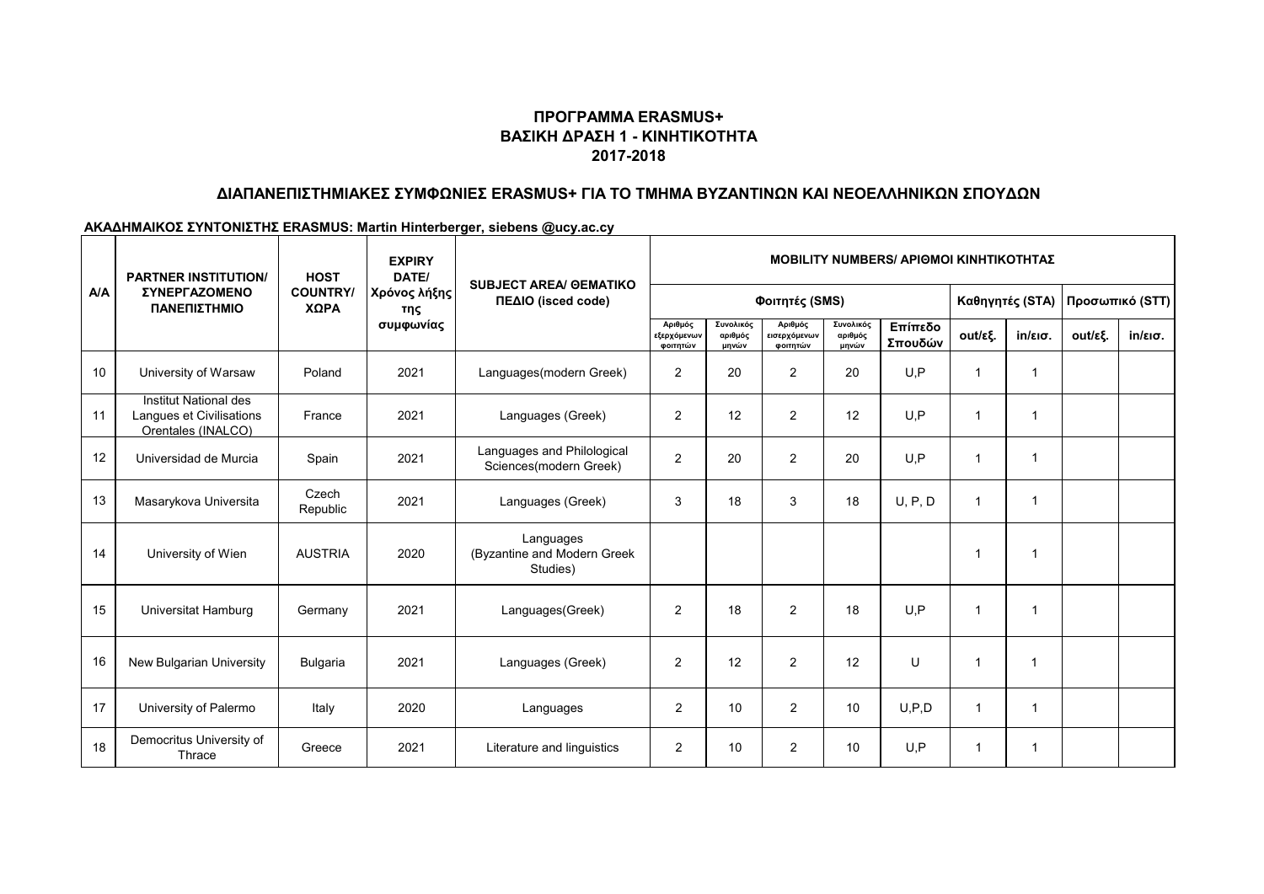# **ΠΡΟΓΡΑΜΜΑ ERASMUS+ ΒΑΣΙΚΗ ΔΡΑΣΗ 1 - ΚΙΝΗΤΙΚΟΤΗΤΑ 2017-2018**

## **ΔΙΑΠΑΝΕΠΙΣΤΗΜΙΑΚΕΣ ΣΥΜΦΩΝΙΕΣ ERASMUS+ ΓΙΑ ΤΟ ΤΜΗΜΑ ΒΥΖΑΝΤΙΝΩΝ ΚΑΙ ΝΕΟΕΛΛΗΝΙΚΩΝ ΣΠΟΥΔΩΝ**

### **ΑΚΑΔΗΜΑΙΚΟΣ ΣΥΝΤΟΝΙΣΤΗΣ ERASMUS: Martin Hinterberger, siebens @ucy.ac.cy**

|     | <b>PARTNER INSTITUTION/</b>                                             | <b>HOST</b><br><b>COUNTRY/</b><br>ΧΩΡΑ | <b>EXPIRY</b><br>DATE/<br>Χρόνος λήξης<br>της<br>συμφωνίας | <b>SUBJECT AREA/ GEMATIKO</b><br>ΠΕΔΙΟ (isced code)  | <b>MOBILITY NUMBERS/ ΑΡΙΘΜΟΙ ΚΙΝΗΤΙΚΟΤΗΤΑΣ</b> |                               |                                     |                               |                    |                 |                   |                 |                   |
|-----|-------------------------------------------------------------------------|----------------------------------------|------------------------------------------------------------|------------------------------------------------------|------------------------------------------------|-------------------------------|-------------------------------------|-------------------------------|--------------------|-----------------|-------------------|-----------------|-------------------|
| A/A | <b>ΣΥΝΕΡΓΑΖΟΜΕΝΟ</b><br>ΠΑΝΕΠΙΣΤΗΜΙΟ                                    |                                        |                                                            |                                                      | Φοιτητές (SMS)                                 |                               |                                     |                               |                    | Καθηγητές (STA) |                   | Προσωπικό (STT) |                   |
|     |                                                                         |                                        |                                                            |                                                      | Αριθμός<br>εξερχόμενων<br>φοιτητών             | Συνολικός<br>αριθμός<br>μηνών | Αριθμός<br>εισερχόμενων<br>φοιτητών | Συνολικός<br>αριθμός<br>μηνών | Επίπεδο<br>Σπουδών | out/εξ.         | $in/\epsilon$ ισ. | out/εξ.         | $in/\epsilon$ ισ. |
| 10  | University of Warsaw                                                    | Poland                                 | 2021                                                       | Languages(modern Greek)                              | $\overline{2}$                                 | 20                            | $\overline{2}$                      | 20                            | U.P                | $\mathbf{1}$    | 1                 |                 |                   |
| 11  | Institut National des<br>Langues et Civilisations<br>Orentales (INALCO) | France                                 | 2021                                                       | Languages (Greek)                                    | 2                                              | 12                            | 2                                   | 12                            | U.P                | $\overline{1}$  | 1                 |                 |                   |
| 12  | Universidad de Murcia                                                   | Spain                                  | 2021                                                       | Languages and Philological<br>Sciences(modern Greek) | $\overline{2}$                                 | 20                            | 2                                   | 20                            | U.P                | -1              | 1                 |                 |                   |
| 13  | Masarykova Universita                                                   | Czech<br>Republic                      | 2021                                                       | Languages (Greek)                                    | 3                                              | 18                            | 3                                   | 18                            | U, P, D            | $\overline{1}$  | 1                 |                 |                   |
| 14  | University of Wien                                                      | <b>AUSTRIA</b>                         | 2020                                                       | Languages<br>(Byzantine and Modern Greek<br>Studies) |                                                |                               |                                     |                               |                    | $\mathbf{1}$    | 1                 |                 |                   |
| 15  | Universitat Hamburg                                                     | Germany                                | 2021                                                       | Languages(Greek)                                     | $\overline{2}$                                 | 18                            | $\overline{2}$                      | 18                            | U.P                | $\mathbf{1}$    | 1                 |                 |                   |
| 16  | New Bulgarian University                                                | Bulgaria                               | 2021                                                       | Languages (Greek)                                    | $\overline{2}$                                 | 12                            | $\overline{2}$                      | 12                            | U                  | $\overline{1}$  | 1                 |                 |                   |
| 17  | University of Palermo                                                   | Italy                                  | 2020                                                       | Languages                                            | 2                                              | 10                            | 2                                   | 10                            | U, P, D            | $\overline{1}$  | 1                 |                 |                   |
| 18  | Democritus University of<br>Thrace                                      | Greece                                 | 2021                                                       | Literature and linguistics                           | 2                                              | 10                            | $\overline{2}$                      | 10                            | U.P                | -1              | 1                 |                 |                   |